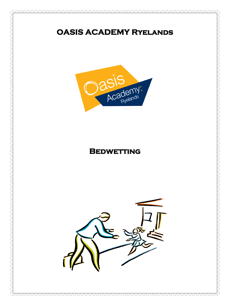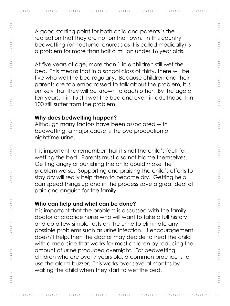A good starting point for both child and parents is the realisation that they are not on their own. In this country, bedwetting (or nocturnal enuresis as it is called medically) is a problem for more than half a million under 16 year olds.

At five years of age, more than 1 in 6 children still wet the bed. This means that in a school class of thirty, there will be five who wet the bed regularly. Because children and their parents are too embarrassed to talk about the problem, it is unlikely that they will be known to each other. By the age of ten years, 1 in 15 still wet the bed and even in adulthood 1 in 100 still suffer from the problem.

## **Why does bedwetting happen?**

Although many factors have been associated with bedwetting, a major cause is the overproduction of nighttime urine.

It is important to remember that it's not the child's fault for wetting the bed. Parents must also not blame themselves. Getting angry or punishing the child could make the problem worse. Supporting and praising the child's efforts to stay dry will really help them to become dry. Getting help can speed things up and in the process save a great deal of pain and anguish for the family.

## **Who can help and what can be done?**

It is important that the problem is discussed with the family doctor or practice nurse who will want to take a full history and do a few simple tests on the urine to eliminate any possible problems such as urine infection. If encouragement doesn't help, then the doctor may decide to treat the child with a medicine that works for most children by reducing the amount of urine produced overnight. For bedwetting children who are over 7 years old, a common practice is to use the alarm buzzer. This works over several months by waking the child when they start to wet the bed.

100000000000000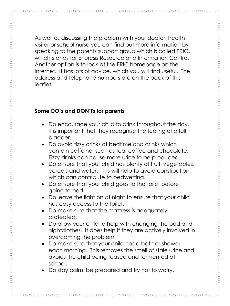As well as discussing the problem with your doctor, health visitor or school nurse you can find out more information by speaking to the parents support group which is called ERIC, which stands for Enuresis Resource and Information Centre. Another option is to look at the ERIC homepage on the Internet. It has lots of advice, which you will find useful. The address and telephone numbers are on the back of this leaflet.

## **Some DO's and DON'Ts for parents**

- Do encourage your child to drink throughout the day. It is important that they recognise the feeling of a full bladder.
- Do avoid fizzy drinks at bedtime and drinks which contain caffeine, such as tea, coffee and chocolate. Fizzy drinks can cause more urine to be produced.
- Do ensure that your child has plenty of fruit, vegetables, cereals and water. This will help to avoid constipation, which can contribute to bedwetting.
- Do ensure that your child goes to the toilet before going to bed.
- Do leave the light on at night to ensure that your child has easy access to the toilet.
- Do make sure that the mattress is adequately protected.
- Do allow your child to help with changing the bed and nightclothes. It does help if they are actively involved in overcoming the problem.
- Do make sure that your child has a bath or shower each morning. This removes the smell of stale urine and avoids the child being teased and tormented at school.
- Do stay calm, be prepared and try not to worry.